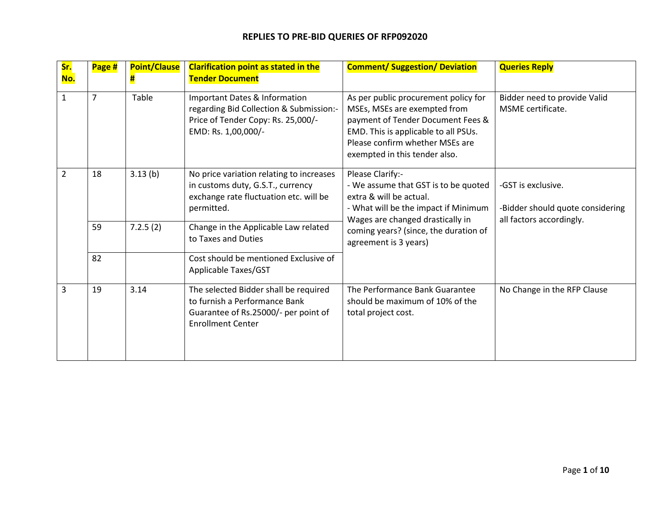| Sr.<br>No.     | Page # | <b>Point/Clause</b><br>Ħ | <b>Clarification point as stated in the</b><br><b>Tender Document</b>                                                                      | <b>Comment/ Suggestion/ Deviation</b>                                                                                                                                                                                             | <b>Queries Reply</b>                                                               |
|----------------|--------|--------------------------|--------------------------------------------------------------------------------------------------------------------------------------------|-----------------------------------------------------------------------------------------------------------------------------------------------------------------------------------------------------------------------------------|------------------------------------------------------------------------------------|
| $\mathbf{1}$   | 7      | Table                    | Important Dates & Information<br>regarding Bid Collection & Submission:-<br>Price of Tender Copy: Rs. 25,000/-<br>EMD: Rs. 1,00,000/-      | As per public procurement policy for<br>MSEs, MSEs are exempted from<br>payment of Tender Document Fees &<br>EMD. This is applicable to all PSUs.<br>Please confirm whether MSEs are<br>exempted in this tender also.             | Bidder need to provide Valid<br>MSME certificate.                                  |
| $\overline{2}$ | 18     | 3.13(b)                  | No price variation relating to increases<br>in customs duty, G.S.T., currency<br>exchange rate fluctuation etc. will be<br>permitted.      | Please Clarify:-<br>- We assume that GST is to be quoted<br>extra & will be actual.<br>- What will be the impact if Minimum<br>Wages are changed drastically in<br>coming years? (since, the duration of<br>agreement is 3 years) | -GST is exclusive.<br>-Bidder should quote considering<br>all factors accordingly. |
|                | 59     | 7.2.5(2)                 | Change in the Applicable Law related<br>to Taxes and Duties                                                                                |                                                                                                                                                                                                                                   |                                                                                    |
|                | 82     |                          | Cost should be mentioned Exclusive of<br>Applicable Taxes/GST                                                                              |                                                                                                                                                                                                                                   |                                                                                    |
| 3              | 19     | 3.14                     | The selected Bidder shall be required<br>to furnish a Performance Bank<br>Guarantee of Rs.25000/- per point of<br><b>Enrollment Center</b> | The Performance Bank Guarantee<br>should be maximum of 10% of the<br>total project cost.                                                                                                                                          | No Change in the RFP Clause                                                        |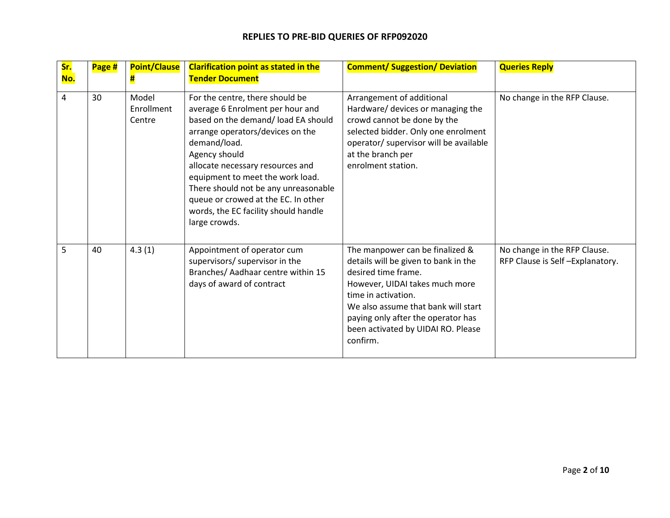| <mark>Sr.</mark><br>No. | Page # | <b>Point/Clause</b><br>#      | <b>Clarification point as stated in the</b><br><b>Tender Document</b>                                                                                                                                                                                                                                                                                                                           | <b>Comment/ Suggestion/ Deviation</b>                                                                                                                                                                                                                                                  | <b>Queries Reply</b>                                            |
|-------------------------|--------|-------------------------------|-------------------------------------------------------------------------------------------------------------------------------------------------------------------------------------------------------------------------------------------------------------------------------------------------------------------------------------------------------------------------------------------------|----------------------------------------------------------------------------------------------------------------------------------------------------------------------------------------------------------------------------------------------------------------------------------------|-----------------------------------------------------------------|
| 4                       | 30     | Model<br>Enrollment<br>Centre | For the centre, there should be<br>average 6 Enrolment per hour and<br>based on the demand/ load EA should<br>arrange operators/devices on the<br>demand/load.<br>Agency should<br>allocate necessary resources and<br>equipment to meet the work load.<br>There should not be any unreasonable<br>queue or crowed at the EC. In other<br>words, the EC facility should handle<br>large crowds. | Arrangement of additional<br>Hardware/ devices or managing the<br>crowd cannot be done by the<br>selected bidder. Only one enrolment<br>operator/ supervisor will be available<br>at the branch per<br>enrolment station.                                                              | No change in the RFP Clause.                                    |
| 5                       | 40     | 4.3(1)                        | Appointment of operator cum<br>supervisors/ supervisor in the<br>Branches/ Aadhaar centre within 15<br>days of award of contract                                                                                                                                                                                                                                                                | The manpower can be finalized &<br>details will be given to bank in the<br>desired time frame.<br>However, UIDAI takes much more<br>time in activation.<br>We also assume that bank will start<br>paying only after the operator has<br>been activated by UIDAI RO. Please<br>confirm. | No change in the RFP Clause.<br>RFP Clause is Self-Explanatory. |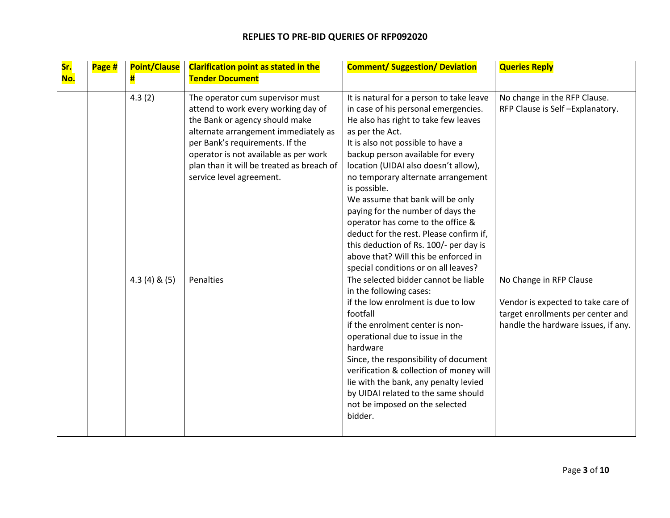| Sr.<br>No. | Page # | <b>Point/Clause</b><br>Ħ, | <b>Clarification point as stated in the</b><br><b>Tender Document</b>                                                                                                                                                                                                                                  | <b>Comment/ Suggestion/ Deviation</b>                                                                                                                                                                                                                                                                                                                                                                                                                                                                                                                                                                  | <b>Queries Reply</b>                                                                                                                      |
|------------|--------|---------------------------|--------------------------------------------------------------------------------------------------------------------------------------------------------------------------------------------------------------------------------------------------------------------------------------------------------|--------------------------------------------------------------------------------------------------------------------------------------------------------------------------------------------------------------------------------------------------------------------------------------------------------------------------------------------------------------------------------------------------------------------------------------------------------------------------------------------------------------------------------------------------------------------------------------------------------|-------------------------------------------------------------------------------------------------------------------------------------------|
|            |        | 4.3(2)                    | The operator cum supervisor must<br>attend to work every working day of<br>the Bank or agency should make<br>alternate arrangement immediately as<br>per Bank's requirements. If the<br>operator is not available as per work<br>plan than it will be treated as breach of<br>service level agreement. | It is natural for a person to take leave<br>in case of his personal emergencies.<br>He also has right to take few leaves<br>as per the Act.<br>It is also not possible to have a<br>backup person available for every<br>location (UIDAI also doesn't allow),<br>no temporary alternate arrangement<br>is possible.<br>We assume that bank will be only<br>paying for the number of days the<br>operator has come to the office &<br>deduct for the rest. Please confirm if,<br>this deduction of Rs. 100/- per day is<br>above that? Will this be enforced in<br>special conditions or on all leaves? | No change in the RFP Clause.<br>RFP Clause is Self-Explanatory.                                                                           |
|            |        | $4.3(4)$ & $(5)$          | Penalties                                                                                                                                                                                                                                                                                              | The selected bidder cannot be liable<br>in the following cases:<br>if the low enrolment is due to low<br>footfall<br>if the enrolment center is non-<br>operational due to issue in the<br>hardware<br>Since, the responsibility of document<br>verification & collection of money will<br>lie with the bank, any penalty levied<br>by UIDAI related to the same should<br>not be imposed on the selected<br>bidder.                                                                                                                                                                                   | No Change in RFP Clause<br>Vendor is expected to take care of<br>target enrollments per center and<br>handle the hardware issues, if any. |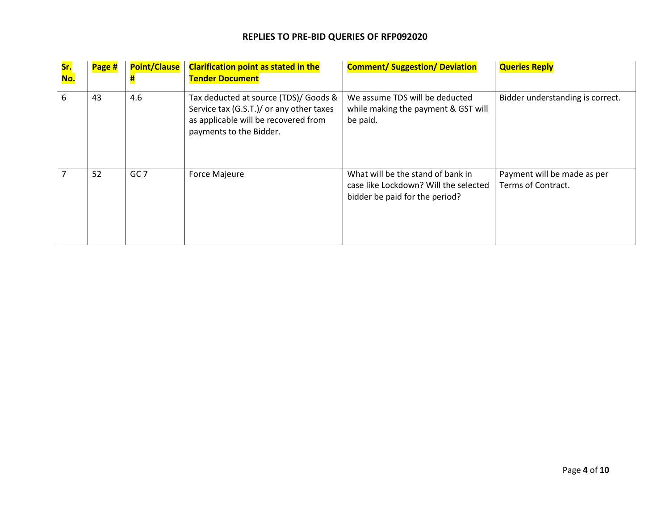| Sr.<br>No. | Page # | <b>Point/Clause</b> | <b>Clarification point as stated in the</b><br><b>Tender Document</b>                                                                                | <b>Comment/ Suggestion/ Deviation</b>                                                                        | <b>Queries Reply</b>                              |
|------------|--------|---------------------|------------------------------------------------------------------------------------------------------------------------------------------------------|--------------------------------------------------------------------------------------------------------------|---------------------------------------------------|
| 6          | 43     | 4.6                 | Tax deducted at source (TDS)/ Goods &<br>Service tax (G.S.T.)/ or any other taxes<br>as applicable will be recovered from<br>payments to the Bidder. | We assume TDS will be deducted<br>while making the payment & GST will<br>be paid.                            | Bidder understanding is correct.                  |
|            | 52     | GC <sub>7</sub>     | <b>Force Majeure</b>                                                                                                                                 | What will be the stand of bank in<br>case like Lockdown? Will the selected<br>bidder be paid for the period? | Payment will be made as per<br>Terms of Contract. |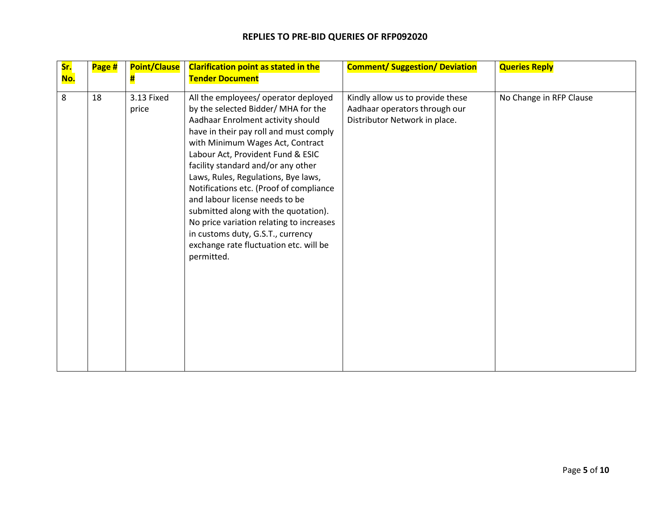| Sr.<br>No. | Page # | <b>Point/Clause</b><br>Ħ | <b>Clarification point as stated in the</b><br><b>Tender Document</b>                                                                                                                                                                                                                                                                                                                                                                                                                                                                                                          | <b>Comment/ Suggestion/ Deviation</b>                                                              | <b>Queries Reply</b>    |
|------------|--------|--------------------------|--------------------------------------------------------------------------------------------------------------------------------------------------------------------------------------------------------------------------------------------------------------------------------------------------------------------------------------------------------------------------------------------------------------------------------------------------------------------------------------------------------------------------------------------------------------------------------|----------------------------------------------------------------------------------------------------|-------------------------|
| 8          | 18     | 3.13 Fixed<br>price      | All the employees/ operator deployed<br>by the selected Bidder/ MHA for the<br>Aadhaar Enrolment activity should<br>have in their pay roll and must comply<br>with Minimum Wages Act, Contract<br>Labour Act, Provident Fund & ESIC<br>facility standard and/or any other<br>Laws, Rules, Regulations, Bye laws,<br>Notifications etc. (Proof of compliance<br>and labour license needs to be<br>submitted along with the quotation).<br>No price variation relating to increases<br>in customs duty, G.S.T., currency<br>exchange rate fluctuation etc. will be<br>permitted. | Kindly allow us to provide these<br>Aadhaar operators through our<br>Distributor Network in place. | No Change in RFP Clause |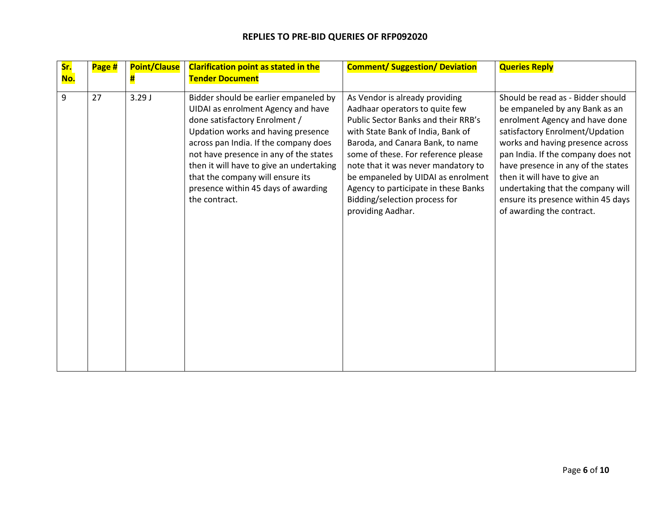| <mark>Sr.</mark><br>No. | Page # | <b>Point/Clause</b><br>Ħ | <b>Clarification point as stated in the</b><br><b>Tender Document</b>                                                                                                                                                                                                                                                                                                         | <b>Comment/ Suggestion/ Deviation</b>                                                                                                                                                                                                                                                                                                                                                              | <b>Queries Reply</b>                                                                                                                                                                                                                                                                                                                                                                             |
|-------------------------|--------|--------------------------|-------------------------------------------------------------------------------------------------------------------------------------------------------------------------------------------------------------------------------------------------------------------------------------------------------------------------------------------------------------------------------|----------------------------------------------------------------------------------------------------------------------------------------------------------------------------------------------------------------------------------------------------------------------------------------------------------------------------------------------------------------------------------------------------|--------------------------------------------------------------------------------------------------------------------------------------------------------------------------------------------------------------------------------------------------------------------------------------------------------------------------------------------------------------------------------------------------|
| 9                       | 27     | 3.29J                    | Bidder should be earlier empaneled by<br>UIDAI as enrolment Agency and have<br>done satisfactory Enrolment /<br>Updation works and having presence<br>across pan India. If the company does<br>not have presence in any of the states<br>then it will have to give an undertaking<br>that the company will ensure its<br>presence within 45 days of awarding<br>the contract. | As Vendor is already providing<br>Aadhaar operators to quite few<br>Public Sector Banks and their RRB's<br>with State Bank of India, Bank of<br>Baroda, and Canara Bank, to name<br>some of these. For reference please<br>note that it was never mandatory to<br>be empaneled by UIDAI as enrolment<br>Agency to participate in these Banks<br>Bidding/selection process for<br>providing Aadhar. | Should be read as - Bidder should<br>be empaneled by any Bank as an<br>enrolment Agency and have done<br>satisfactory Enrolment/Updation<br>works and having presence across<br>pan India. If the company does not<br>have presence in any of the states<br>then it will have to give an<br>undertaking that the company will<br>ensure its presence within 45 days<br>of awarding the contract. |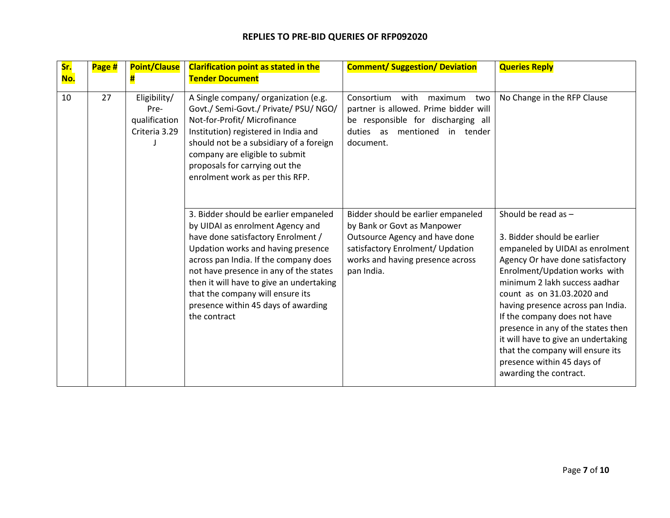| Sr.<br>No. | Page # | <b>Point/Clause</b><br>#                               | <b>Clarification point as stated in the</b><br><b>Tender Document</b>                                                                                                                                                                                                                                                                                                           | <b>Comment/ Suggestion/ Deviation</b>                                                                                                                                                     | <b>Queries Reply</b>                                                                                                                                                                                                                                                                                                                                                                                                                                                    |
|------------|--------|--------------------------------------------------------|---------------------------------------------------------------------------------------------------------------------------------------------------------------------------------------------------------------------------------------------------------------------------------------------------------------------------------------------------------------------------------|-------------------------------------------------------------------------------------------------------------------------------------------------------------------------------------------|-------------------------------------------------------------------------------------------------------------------------------------------------------------------------------------------------------------------------------------------------------------------------------------------------------------------------------------------------------------------------------------------------------------------------------------------------------------------------|
| 10         | 27     | Eligibility/<br>Pre-<br>qualification<br>Criteria 3.29 | A Single company/ organization (e.g.<br>Govt./ Semi-Govt./ Private/ PSU/ NGO/<br>Not-for-Profit/ Microfinance<br>Institution) registered in India and<br>should not be a subsidiary of a foreign<br>company are eligible to submit<br>proposals for carrying out the<br>enrolment work as per this RFP.                                                                         | Consortium<br>with<br>maximum<br>two<br>partner is allowed. Prime bidder will<br>be responsible for discharging all<br>mentioned<br>duties as<br>in tender<br>document.                   | No Change in the RFP Clause                                                                                                                                                                                                                                                                                                                                                                                                                                             |
|            |        |                                                        | 3. Bidder should be earlier empaneled<br>by UIDAI as enrolment Agency and<br>have done satisfactory Enrolment /<br>Updation works and having presence<br>across pan India. If the company does<br>not have presence in any of the states<br>then it will have to give an undertaking<br>that the company will ensure its<br>presence within 45 days of awarding<br>the contract | Bidder should be earlier empaneled<br>by Bank or Govt as Manpower<br>Outsource Agency and have done<br>satisfactory Enrolment/ Updation<br>works and having presence across<br>pan India. | Should be read as -<br>3. Bidder should be earlier<br>empaneled by UIDAI as enrolment<br>Agency Or have done satisfactory<br>Enrolment/Updation works with<br>minimum 2 lakh success aadhar<br>count as on 31.03.2020 and<br>having presence across pan India.<br>If the company does not have<br>presence in any of the states then<br>it will have to give an undertaking<br>that the company will ensure its<br>presence within 45 days of<br>awarding the contract. |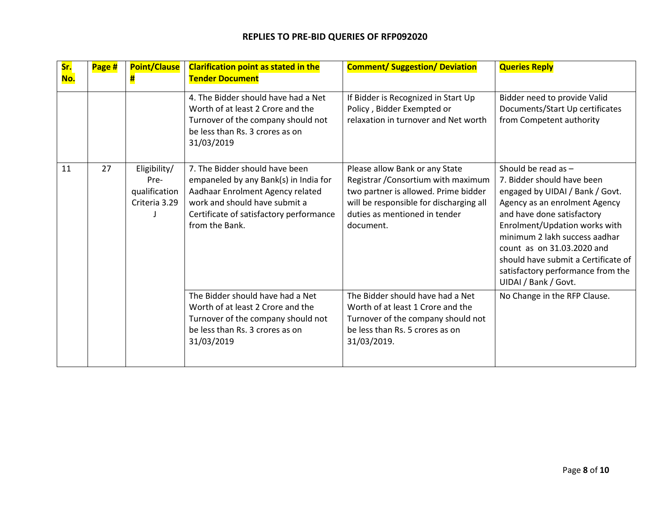| Sr.<br>No. | Page # | <b>Point/Clause</b><br>Ħ                               | <b>Clarification point as stated in the</b><br><b>Tender Document</b>                                                                                                                                     | <b>Comment/ Suggestion/ Deviation</b>                                                                                                                                                                  | <b>Queries Reply</b>                                                                                                                                                                                                                                                                                                                                      |
|------------|--------|--------------------------------------------------------|-----------------------------------------------------------------------------------------------------------------------------------------------------------------------------------------------------------|--------------------------------------------------------------------------------------------------------------------------------------------------------------------------------------------------------|-----------------------------------------------------------------------------------------------------------------------------------------------------------------------------------------------------------------------------------------------------------------------------------------------------------------------------------------------------------|
|            |        |                                                        | 4. The Bidder should have had a Net<br>Worth of at least 2 Crore and the<br>Turnover of the company should not<br>be less than Rs. 3 crores as on<br>31/03/2019                                           | If Bidder is Recognized in Start Up<br>Policy, Bidder Exempted or<br>relaxation in turnover and Net worth                                                                                              | Bidder need to provide Valid<br>Documents/Start Up certificates<br>from Competent authority                                                                                                                                                                                                                                                               |
| 11         | 27     | Eligibility/<br>Pre-<br>qualification<br>Criteria 3.29 | 7. The Bidder should have been<br>empaneled by any Bank(s) in India for<br>Aadhaar Enrolment Agency related<br>work and should have submit a<br>Certificate of satisfactory performance<br>from the Bank. | Please allow Bank or any State<br>Registrar / Consortium with maximum<br>two partner is allowed. Prime bidder<br>will be responsible for discharging all<br>duties as mentioned in tender<br>document. | Should be read as $-$<br>7. Bidder should have been<br>engaged by UIDAI / Bank / Govt.<br>Agency as an enrolment Agency<br>and have done satisfactory<br>Enrolment/Updation works with<br>minimum 2 lakh success aadhar<br>count as on 31.03.2020 and<br>should have submit a Certificate of<br>satisfactory performance from the<br>UIDAI / Bank / Govt. |
|            |        |                                                        | The Bidder should have had a Net<br>Worth of at least 2 Crore and the<br>Turnover of the company should not<br>be less than Rs. 3 crores as on<br>31/03/2019                                              | The Bidder should have had a Net<br>Worth of at least 1 Crore and the<br>Turnover of the company should not<br>be less than Rs. 5 crores as on<br>31/03/2019.                                          | No Change in the RFP Clause.                                                                                                                                                                                                                                                                                                                              |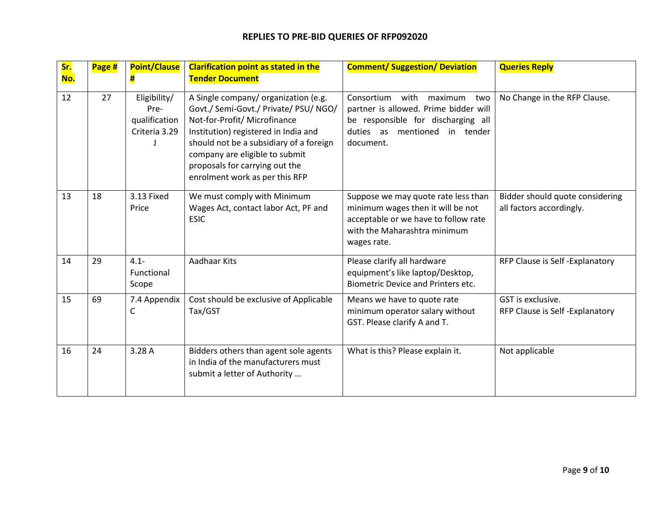| Sr.<br>No. | Page # | <b>Point/Clause</b><br>Ħ                               | <b>Clarification point as stated in the</b><br><b>Tender Document</b>                                                                                                                                                                                                                                  | <b>Comment/ Suggestion/ Deviation</b>                                                                                                                             | <b>Queries Reply</b>                                        |
|------------|--------|--------------------------------------------------------|--------------------------------------------------------------------------------------------------------------------------------------------------------------------------------------------------------------------------------------------------------------------------------------------------------|-------------------------------------------------------------------------------------------------------------------------------------------------------------------|-------------------------------------------------------------|
| 12         | 27     | Eligibility/<br>Pre-<br>qualification<br>Criteria 3.29 | A Single company/ organization (e.g.<br>Govt./ Semi-Govt./ Private/ PSU/ NGO/<br>Not-for-Profit/ Microfinance<br>Institution) registered in India and<br>should not be a subsidiary of a foreign<br>company are eligible to submit<br>proposals for carrying out the<br>enrolment work as per this RFP | Consortium<br>with<br>maximum<br>two<br>partner is allowed. Prime bidder will<br>be responsible for discharging all<br>duties as mentioned in tender<br>document. | No Change in the RFP Clause.                                |
| 13         | 18     | 3.13 Fixed<br>Price                                    | We must comply with Minimum<br>Wages Act, contact labor Act, PF and<br><b>ESIC</b>                                                                                                                                                                                                                     | Suppose we may quote rate less than<br>minimum wages then it will be not<br>acceptable or we have to follow rate<br>with the Maharashtra minimum<br>wages rate.   | Bidder should quote considering<br>all factors accordingly. |
| 14         | 29     | $4.1 -$<br>Functional<br>Scope                         | Aadhaar Kits                                                                                                                                                                                                                                                                                           | Please clarify all hardware<br>equipment's like laptop/Desktop,<br><b>Biometric Device and Printers etc.</b>                                                      | RFP Clause is Self-Explanatory                              |
| 15         | 69     | 7.4 Appendix<br>$\mathsf{C}$                           | Cost should be exclusive of Applicable<br>Tax/GST                                                                                                                                                                                                                                                      | Means we have to quote rate<br>minimum operator salary without<br>GST. Please clarify A and T.                                                                    | GST is exclusive.<br>RFP Clause is Self-Explanatory         |
| 16         | 24     | 3.28 A                                                 | Bidders others than agent sole agents<br>in India of the manufacturers must<br>submit a letter of Authority                                                                                                                                                                                            | What is this? Please explain it.                                                                                                                                  | Not applicable                                              |